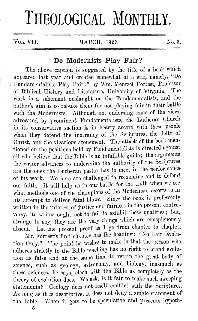## **THEOLOGICAL MONTHLY.**

VOL. VII. MARCH, 1927. No. 3.

## **Do Modernists Play Fair?**

The above caption is suggested by the title of a book which appeared. last year and created somewhat of a stir, namely, "Do . Fundamentalists Play Fair?" by Wm. Mentzel Forrest, Professor of Biblical History and Literature, University of Virginia. The work is a vehement onslaught on the Fundamentalists, and the author's aim is to rebuke them for not playing fair in their battle· with the Modernists. Although not endorsing some of the views advocated by prominent Fundamentalists, the Lutheran Church *in* its conservative section is in hearty accord with these people when they defend the inerrancy of the Scriptures, the deity of Christ, and the vicarious atonement. The attack of the book mentioned on the positions held by Fundamentalists is directed against. all who believe that the Bible is an infallible guide; the arguments the writer advances to undermine the authority of the Scriptures are the ones the Lutheran pastor has to meet in the performance· of his work. We here are challenged to reexamine and to defend our faith. It will help ns in our battle for the truth when we see· what methods one of the champions of the Modernists resorts to in his attempt to deliver fatal blows. Since the book is professedly written in the interest of justice and fairness in the present controversy, its writer ought not to fail to exhibit these qualities; but, strange to say, they are the very things which are conspicuously absent. Let me present proof as I go from chapter to chapter.

Mr. Forrest's first chapter has the heading: "No Fair Evolution Only." The point he wishes to make is that the person who adheres strictly to the Bible teaching has no right to brand evolution as false and at the same time to retain the great body of science, such as geology, astronomy, and biology, inasmuch as these sciences, he says, clash with the Bible as completely as the theory of evolution does. We ask, Is it fair to make such sweeping statements? Geology does not itself conflict with the Scriptures. As long as it is descriptive, it does not deny a single statement of the Bible. When it gets to be speculative and presents hypoth-

5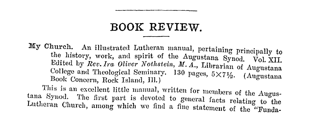## **BOOK REVIEW.**

My Church. An illustrated Lutheran manual, pertaining principally to the history, work, and spirit of the Augustana Synod. Vol. XII. Edited by *Rev. Ira Oliver Nothstein, M. A.*, Librarian of Augustana College and Theological Seminary. 130 pages, 5X7½. (Angustana Book Concern, Rock Island, Ill.) This is an excellent little manual, written for members of the Augustana Synod. The first part is devoted to general facts relating to the Lutheran Church, among which we find a fine statement of the "Funda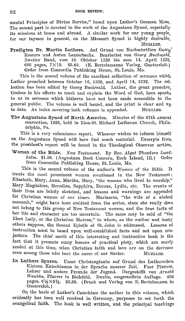mental Principles of Divine Service," based upon Luther's German Mass, The second part is devoted to the work of the Augustana Synod, especiallyits missions at home and abroad. A similar work for our young people, for our laymen in general, on the Missouri Synod is highly desirable.

MUELLER.

Predigten Dr. Martin Luthers. Auf Grund von Nachschriften Georg' Roerers und Anton Lauterbachs. Bearbeitet von *Georg Buchwald,*  Zweiter Band, vom 16. Oktober 1530 bis zum 14. April 1532, 666 pages, 7Xl0. \$5.40. (E. Bertelsmanns Verlag, Guetersloh.) Order from Concordia Publishing House, St. Louis, Mo.

This is the second volume of the excellent collection of sermons which Luther preached between October 16, 1530, and April 14, 1532. The col, lection has been edited by Georg Buchwald. Luther, the great preacher, tireless in his efforts to teach and explain the Word of God, here speaks to us in sermons which hitherto have not been made accessible to the general public. The volume is well bound, and the print is clear and up<br>to date. An index covering both volumes is appended. MUELLER. to date. An index covering both volumes is appended.

The Augustana Synod of North America. Minutes of the 67th annual convention, 1026, held in Zion-St. Michael Lutheran Church, Philadelphia, Pn.

This is a very voluminous report. Whoever wishes to inform himself on the Augustana Synod will here find much material. Excerpts from the president's report will be found in the Theological Observer section.

Women of the Bible. *New Testament.* By *Rev. Algot 'l'heodore Lundholm.* \$1.50. (Augustana Book Concern, Rock Island, Ill.) Order from Concordia Publishing House, St. Louis, Mo.

This is the second volume of the author's *Women of the Bible*. It treats the most prominent women mentioned in the New Testament: Elisabeth, Mary, Anna, Martha, Mary, "the woman who lived to worship," Mary Magdalene, Herodias, Sapphira, Dorcas, Lydia, etc. The events of their lives are briefly sketched, and lessons and warnings are appended for Christian women of our times. Mariamne, "the wife of a wicked monarch," might have been omitted from the series, since she really does not belong to this group of New Testament women, and the true facts of her life and character are too uncertain. The same may be said of "the Elect Lady, or the Christian Matron," to whom, as the author and many others suppose, the Second Epistle of St. John is addressed. Lessons of instruction must be based upon well-established facts and not upon conjecture. The chief merit of this interesting and instructive book is the fact that it presents many lessons of practical piety, which arc sorely needed at this time, when Christian faith and love are on the decrease even among those who bear the name of our Savior. MUELLER,

In Luthers Spuren. Unser Christenglaube auf Grund des Luthersehen Klcinen Katechismus in dcr Sprache unserer Zeit. Fuer Pfarrer, Lehrer und andere Freunde der Jugend. Dargestellt von *Arnold Waubke*, Pfarrer in Bielefeld. Zweite, umgestaltete Auflage. 456 pages, 6½X9½. \$3.30. (Druck und Verlag von E. Bertelsmann in Guetersloh. )

On the basis of Luther's Catechism the author in this volume, which evidently has been well received in Germany, purposes to set forth the evangelical faith. The book is well written, and the principal teachings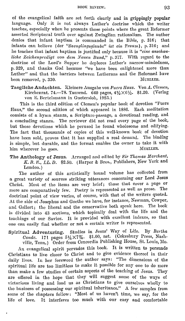of the evangelical faith are set forth clearly and in grippingly **popular**  language. Only it is not always Luther's doctrine which the writer teaches, especially when he presents those points where the great Reformer asserted Scriptural truth over against Zwinglian rationalism. The author denies that infant baptism is commanded in the Dible, p. 316; that infants can believe (der "Saeuglingsglaube" ist ein Traum), p. 316; and he teaches that infant baptism is justified only because it is *"eine anschauliche Zeichenpredigt von dem Neuen Bund,*" p. 317. With regard to the doctrine of the Lord's Supper he deplores Luther's narrow-mindedness, p. 329, and thanks God because "we have been enlightened more than Luther" and that the barriers hetween Lutherans and the Reformed have<br>been removed, p. 330. MUELLER. been removed, p. 330.

Taegliche Andachten. Kleinere Ausgabe von *Fuers Haus.* Von A. Clemen, Kirchenrat. 74.-78. Tausend. 640 pages,  $4\frac{1}{2} \times 6\frac{1}{2}$ . \$1.20. (Verlag von E. Bertelsmann in Guetersloh, 1925.)

This is the third edition of Clemen's popular book of devotion "Fuers Haus," the second edition of which appeared in 1886. Each meditation consists of a hymn. stanza, a Scripture-passage, a devotional reading, and a concluding stanza. 'l'he reviewer did not read every page of the book, but those devotions which he perused he found wholesome and edifying. The fact that thousands of copies of this well-known book of devotion have been sold, proves that it has supplied a real demand. The binding is simple, but durable, and the format enables the owner to take it with him wherever he goes him wherever he goes.

The Anthology of Jesus. Arranged and edited by Sir Thomas Marchant, K. B. E., LL. D. \$2.50. (Harper & Bros., Publishers, New York and London.)

The author of this artistically bound volume has collected from a great variety of sources striking utterances concerning our Lord Jesus Christ. Most of the items are very brief; those that cover a page or more arc comparatively few. Poetry is represented as well as prose. The doctrinal point of view varies, of course, with that of the writers quoted. At the side of Josephus and Goethe we have, for instance, Newman, Cowper, and Gellert; the liberal and the conservative both speak here. The book is divided into 43 sections, which topically deal with the life and the teachings of our Savior. It is provided with excellent indexes, so that one can easily find whether or not a certain writer is represented.

Spiritual Adventuring. Studies in Jesus' Way of Life. By *Bertha Conde.* 171 pages 51/<sub>4</sub>×73/<sub>4</sub>. \$1.00, net. (Cokesbury Press, Nashville, Tenn.) Order from Concordia Publishing House, St. Louis, Mo.

An evangelical spirit pervades this book. It is written to persuade Christians to live closer to Christ and to give evidence thereof in their daily lives. In her foreword the author says: "The dimensions of the spiritual life are too limitless to make it possible for any one to do more than make a few studies of certain aspects of the teaching of Jesus. They are offered in the hope that they will suggest some of the ways of victorious living and lead us as Christians to give ourselves wholly to tho business of possessing our spiritual inheritance." A few samples from some of the chapters follow: "Most of us haven't time, we say, for the life of love. It interferes too much with our easy and comfortable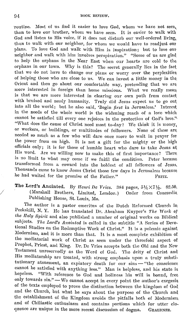Toutine. Most of us find it easier to love God, whom we have not seen, than to love our brother, whom we have seen. It is easier to walk with God and listen to His voice, if it does not disturb our well-ordered living, than to walk with our neighbor, for whom we would have to readjust our plans. To love God and walk with Him is inspiration; but to love our neighbor and walk with him involves perspiration." "Some of us are glad\_ to help the orphans in the Near East when our hearts are cold to the orphans in our town. Why is this? The secret generally lies in the fact that we do not have to change our plans or worry over the perplexities of helping those who are close to us. We can invest a little money in the Orient and then go about our comfortable way, pretending that we are more interested in foreign than home missions. What we really mean is that we are more interested in clearing our own path from contact with bruised and needy humanity. Truly did Jesus expect us to go out into all the world; but he also said, 'Begin *first* in Jerusalem.' Interest in the needs of the whole world is the widening reach of a love which cannot be satisfied till every one rejoices in the protection of God's love." "What does the cause of Christ need most to-day? We think it is money, or workers, or buildings, or multitudes of followers. None of these are needed so much as a few who will dare once more to wait in prayer for the power from on high. It is not a gift for the mighty or the high oflicials only; it is for those of hurnhle heart who dare to take Jesus at His word. Are we willing now to make this of first importance? There is no limit to what may come if we fulfil the condition. Peter became transformed from a coward into the boldest of all followers of Jesus, Thousands came to know Jesus Christ those few days in Jerusalem because he had waited for the promise of the Father." FRITZ.

**The Lord's Anointed.** By *Henri De Vries.* 384 pages,  $5\frac{1}{4}\times7\frac{1}{2}$ . \$2.50, / ( Marshall Brothers, Limited, London.) Order from Concordia. Publishing House, St. Louis, Mo.

The author is a pastor emeritus of the Dutch Reformed Church in Peekskill, N. Y. He has translated Dr. Abraham Kuyper's The Work of *the Iloly Fipirit* and also published a nurnber of original works on Biblical subjects. *The Lord's Anointed* is called in the subtitle "A Series of Devotional Studies on the Redemptive Work of Christ." It is a polemic against Modernism, and it is more than that. It is a most complete exhibition of the mediatorial work of Christ as seen under the threefold aspect of Prophet, Priest, and King. Dr. De Vries accepts both the Old and the New Testament unreservedly as the Word of God. The deity of Christ and His mediatorship are treated, with strong emphasis upon a truly substitutionary atonement, an expiatory death for our sins - "the conscience cannot be satisfied with anything less." Man is helpless, and his state is hopeless. "With reference to God and holiness his will is bound, free only towards  $\sin$ ." - We cannot accept in every point the author's exegesis of the texts employed to prove the distinction between the kingdom of God and the Church, but what he says about the purpose of the Church and the establishment of the Kingdom avoids the pitfalls both of Modernism and of Chiliastic enthusiasm and contains portions which for utter eloquence are unique in the more recent discussion of dogma. GRAEBNER.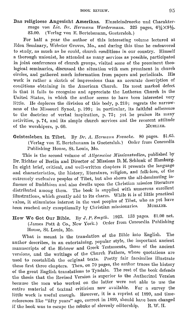Das religioese Angesicht Amerikas. Einzelcindruccke und Charakter-<br>zuege von Lic. Dr. Hermann Werdermann. 325 pages,  $6\frac{1}{2} \times 9\frac{1}{2}$ . zuege von *Lic. Dr. Hermann Werdermann.*<br>\$3.00. (Verlag von E. Bertelsmann Gueters) (Verlag von E. Bertelsmann, Guetersloh.)

For half a year the author of this interesting volume lectured at Eden Seminary, Webster Groves, Mo., and during this time he endeavored to study, as much as he could, church conditions in our country. Himself a thorough unionist, he attended as many services as possible, participated in joint conferences of church groups, visited some of the prominent theological seminaries, discussed the situation with men prominent in church circles, and gathered much information from papers and periodicals. work is rather a sketch of impressions than an accurate description of conditions obtaining in the American Church. Its most marked defect is that it fails to recognize and appreciate the Lutheran Church in the United States, in which the author seems to have been interested very little. He deplores the division of this body, p. 210; regrets the narrowness of the Missouri Synod, p. 199; in particular, its faithful adherence to the doctrine of verbal inspiration, p. 75; yet he praises its many activities, p. 74, and its simple church services and the reverent attitude of the worshipers n 60 of the worshipers, p. 60.

Geistesleben in Tibet. By Dr. A. *Hermann Francke*. 80 pages. \$1.65. (Verlag von E. Bertelsmann in Guetersloh.) Order from Concordia Publishing House, St. Louis, Mo.

This is the second volume of *Allgcmcine Missionstndien,* published by Dr. Richter of Berlin and Director of Missions D. M. Schlunk of Hamburg. In eight brief, critical, and well-written chapters it presents the language and characteristics, the history, literature, religion, and folk-lore, of the extremely exclusive peoples of Tibet, but also shows the all-dominating influence of Buddhism and also dwells upon the Christian mission literature distributed among them. The book is supplied with numerous excellent illustrations, which greatly add to its charm. While it is of little practical value, it stimulates interest in the vast peoples of Tibet, who as yet have heen reached only exceptionally by Christian missionaries.

How We Got Our Bible. By *J. P. Smyth.* 1925. 153 pages. \$1.00 net. (James Pott & Co., New York.) Order from Concordia Publishing House, St. Louis, Mo.

What is meant is the translation of the Bible into English. The author describes, in an entertaining, popular style, the important ancient manuscripts of the Hebrew and Greek Testaments, those of the ancient versions, and the writings of the Church Fathers, whose quotations arc used to reestablish the original texts. Pretty fair facsimiles illustrate these first three chapters. Then, on 70 pages, the author traces the history of the great English translations to Tyndale. The rest of the book defends the thesis that the Revised Version is superior to the Authorized Version hecause the men who worked on the latter were not able to use the entire material of textual criticism now available. For a survey the entire material of textual criticism now available. little work is useful enough. However, it is a reprint of 1899, and timereferences like "fifty years" ago, correct in 1899, should have been changed if the book was to escape the rebuke of slovenly editorship. R. W. H.